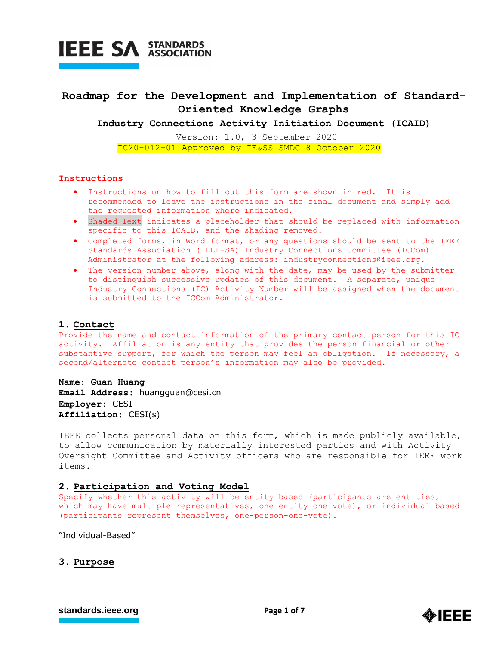

### **Roadmap for the Development and Implementation of Standard-Oriented Knowledge Graphs**

**Industry Connections Activity Initiation Document (ICAID)**

Version: 1.0, 3 September 2020 IC20-012-01 Approved by IE&SS SMDC 8 October 2020

#### **Instructions**

- Instructions on how to fill out this form are shown in red. It is recommended to leave the instructions in the final document and simply add the requested information where indicated.
- Shaded Text indicates a placeholder that should be replaced with information specific to this ICAID, and the shading removed.
- Completed forms, in Word format, or any questions should be sent to the IEEE Standards Association (IEEE-SA) Industry Connections Committee (ICCom) Administrator at the following address: [industryconnections@ieee.org.](mailto:industryconnections@ieee.org)
- The version number above, along with the date, may be used by the submitter to distinguish successive updates of this document. A separate, unique Industry Connections (IC) Activity Number will be assigned when the document is submitted to the ICCom Administrator.

#### **1. Contact**

Provide the name and contact information of the primary contact person for this IC activity. Affiliation is any entity that provides the person financial or other substantive support, for which the person may feel an obligation. If necessary, a second/alternate contact person's information may also be provided.

**Name: Guan Huang Email Address:** huangguan@cesi.cn **Employer:** CESI **Affiliation:** CESI(s)

IEEE collects personal data on this form, which is made publicly available, to allow communication by materially interested parties and with Activity Oversight Committee and Activity officers who are responsible for IEEE work items.

#### **2. Participation and Voting Model**

Specify whether this activity will be entity-based (participants are entities, which may have multiple representatives, one-entity-one-vote), or individual-based (participants represent themselves, one-person-one-vote).

"Individual-Based"

**3. Purpose**

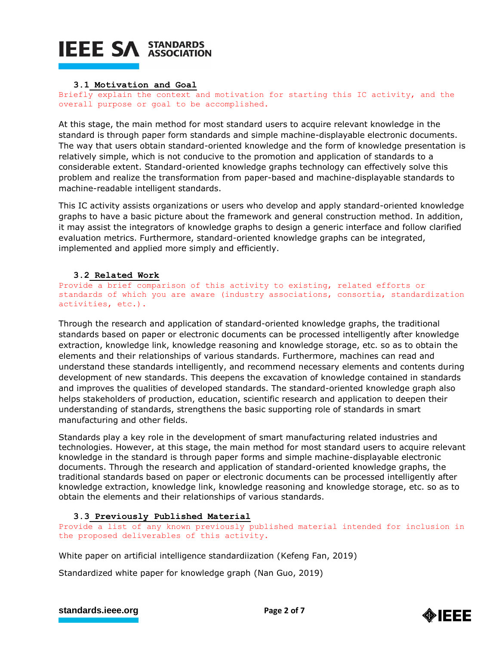## **IEEE SA STANDARDS**

#### **3.1 Motivation and Goal**

Briefly explain the context and motivation for starting this IC activity, and the overall purpose or goal to be accomplished.

At this stage, the main method for most standard users to acquire relevant knowledge in the standard is through paper form standards and simple machine-displayable electronic documents. The way that users obtain standard-oriented knowledge and the form of knowledge presentation is relatively simple, which is not conducive to the promotion and application of standards to a considerable extent. Standard-oriented knowledge graphs technology can effectively solve this problem and realize the transformation from paper-based and machine-displayable standards to machine-readable intelligent standards.

This IC activity assists organizations or users who develop and apply standard-oriented knowledge graphs to have a basic picture about the framework and general construction method. In addition, it may assist the integrators of knowledge graphs to design a generic interface and follow clarified evaluation metrics. Furthermore, standard-oriented knowledge graphs can be integrated, implemented and applied more simply and efficiently.

### **3.2 Related Work**

Provide a brief comparison of this activity to existing, related efforts or standards of which you are aware (industry associations, consortia, standardization activities, etc.).

Through the research and application of standard-oriented knowledge graphs, the traditional standards based on paper or electronic documents can be processed intelligently after knowledge extraction, knowledge link, knowledge reasoning and knowledge storage, etc. so as to obtain the elements and their relationships of various standards. Furthermore, machines can read and understand these standards intelligently, and recommend necessary elements and contents during development of new standards. This deepens the excavation of knowledge contained in standards and improves the qualities of developed standards. The standard-oriented knowledge graph also helps stakeholders of production, education, scientific research and application to deepen their understanding of standards, strengthens the basic supporting role of standards in smart manufacturing and other fields.

Standards play a key role in the development of smart manufacturing related industries and technologies. However, at this stage, the main method for most standard users to acquire relevant knowledge in the standard is through paper forms and simple machine-displayable electronic documents. Through the research and application of standard-oriented knowledge graphs, the traditional standards based on paper or electronic documents can be processed intelligently after knowledge extraction, knowledge link, knowledge reasoning and knowledge storage, etc. so as to obtain the elements and their relationships of various standards.

#### **3.3 Previously Published Material**

Provide a list of any known previously published material intended for inclusion in the proposed deliverables of this activity.

White paper on artificial intelligence standardiization (Kefeng Fan, 2019)

Standardized white paper for knowledge graph (Nan Guo, 2019)

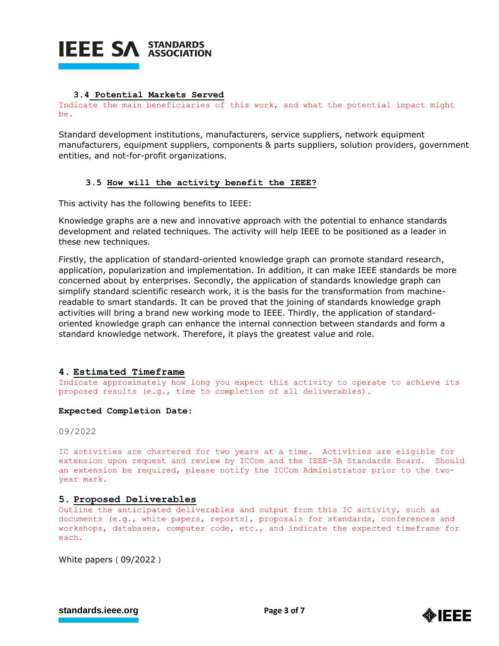

#### **3.4 Potential Markets Served**

Indicate the main beneficiaries of this work, and what the potential impact might be.

Standard development institutions, manufacturers, service suppliers, network equipment manufacturers, equipment suppliers, components & parts suppliers, solution providers, government entities, and not-for-profit organizations.

#### **3.5 How will the activity benefit the IEEE?**

This activity has the following benefits to IEEE:

Knowledge graphs are a new and innovative approach with the potential to enhance standards development and related techniques. The activity will help IEEE to be positioned as a leader in these new techniques.

Firstly, the application of standard-oriented knowledge graph can promote standard research, application, popularization and implementation. In addition, it can make IEEE standards be more concerned about by enterprises. Secondly, the application of standards knowledge graph can simplify standard scientific research work, it is the basis for the transformation from machinereadable to smart standards. It can be proved that the joining of standards knowledge graph activities will bring a brand new working mode to IEEE. Thirdly, the application of standardoriented knowledge graph can enhance the internal connection between standards and form a standard knowledge network. Therefore, it plays the greatest value and role.

#### **4. Estimated Timeframe**

Indicate approximately how long you expect this activity to operate to achieve its proposed results (e.g., time to completion of all deliverables).

#### **Expected Completion Date:**

09/2022

IC activities are chartered for two years at a time. Activities are eligible for extension upon request and review by ICCom and the IEEE-SA Standards Board. Should an extension be required, please notify the ICCom Administrator prior to the twoyear mark.

#### **5. Proposed Deliverables**

Outline the anticipated deliverables and output from this IC activity, such as documents (e.g., white papers, reports), proposals for standards, conferences and workshops, databases, computer code, etc., and indicate the expected timeframe for each.

White papers (09/2022)

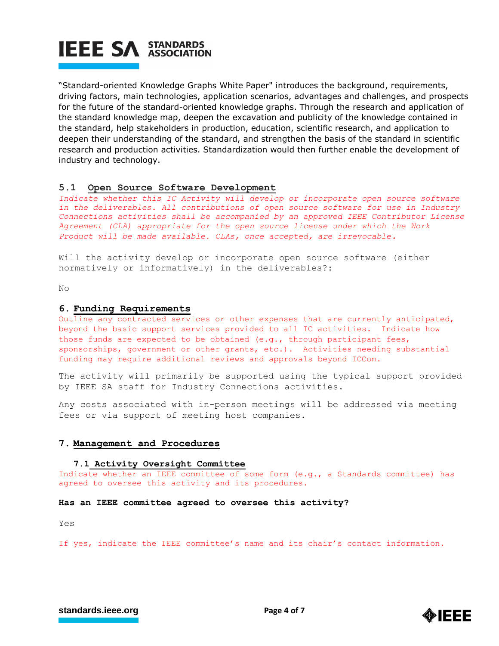

"Standard-oriented Knowledge Graphs White Paper" introduces the background, requirements, driving factors, main technologies, application scenarios, advantages and challenges, and prospects for the future of the standard-oriented knowledge graphs. Through the research and application of the standard knowledge map, deepen the excavation and publicity of the knowledge contained in the standard, help stakeholders in production, education, scientific research, and application to deepen their understanding of the standard, and strengthen the basis of the standard in scientific research and production activities. Standardization would then further enable the development of industry and technology.

#### **5.1 Open Source Software Development**

*Indicate whether this IC Activity will develop or incorporate open source software in the deliverables. All contributions of open source software for use in Industry Connections activities shall be accompanied by an approved IEEE Contributor License Agreement (CLA) appropriate for the open source license under which the Work Product will be made available. CLAs, once accepted, are irrevocable.*

Will the activity develop or incorporate open source software (either normatively or informatively) in the deliverables?:

No

#### **6. Funding Requirements**

Outline any contracted services or other expenses that are currently anticipated, beyond the basic support services provided to all IC activities. Indicate how those funds are expected to be obtained (e.g., through participant fees, sponsorships, government or other grants, etc.). Activities needing substantial funding may require additional reviews and approvals beyond ICCom.

The activity will primarily be supported using the typical support provided by IEEE SA staff for Industry Connections activities.

Any costs associated with in-person meetings will be addressed via meeting fees or via support of meeting host companies.

#### **7. Management and Procedures**

#### **7.1 Activity Oversight Committee**

Indicate whether an IEEE committee of some form (e.g., a Standards committee) has agreed to oversee this activity and its procedures.

#### **Has an IEEE committee agreed to oversee this activity?**

Yes

If yes, indicate the IEEE committee's name and its chair's contact information.

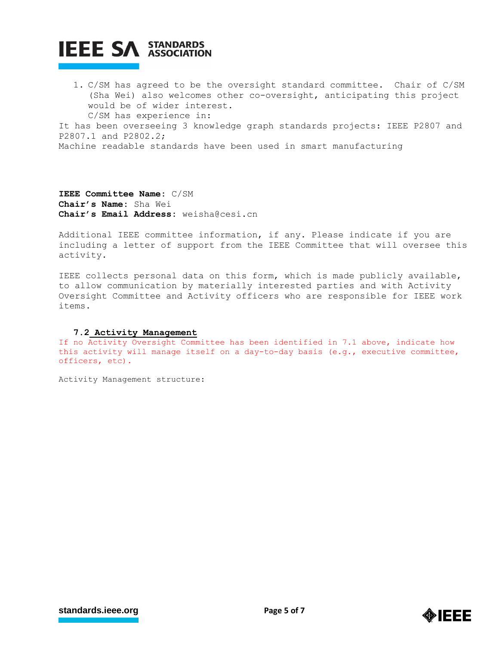# **IEEE SA STANDARDS**

1. C/SM has agreed to be the oversight standard committee. Chair of C/SM (Sha Wei) also welcomes other co-oversight, anticipating this project would be of wider interest. C/SM has experience in:

It has been overseeing 3 knowledge graph standards projects: IEEE P2807 and P2807.1 and P2802.2;

Machine readable standards have been used in smart manufacturing

**IEEE Committee Name:** C/SM **Chair's Name:** Sha Wei **Chair's Email Address:** weisha@cesi.cn

Additional IEEE committee information, if any. Please indicate if you are including a letter of support from the IEEE Committee that will oversee this activity.

IEEE collects personal data on this form, which is made publicly available, to allow communication by materially interested parties and with Activity Oversight Committee and Activity officers who are responsible for IEEE work items.

#### **7.2 Activity Management**

If no Activity Oversight Committee has been identified in 7.1 above, indicate how this activity will manage itself on a day-to-day basis (e.g., executive committee, officers, etc).

Activity Management structure:

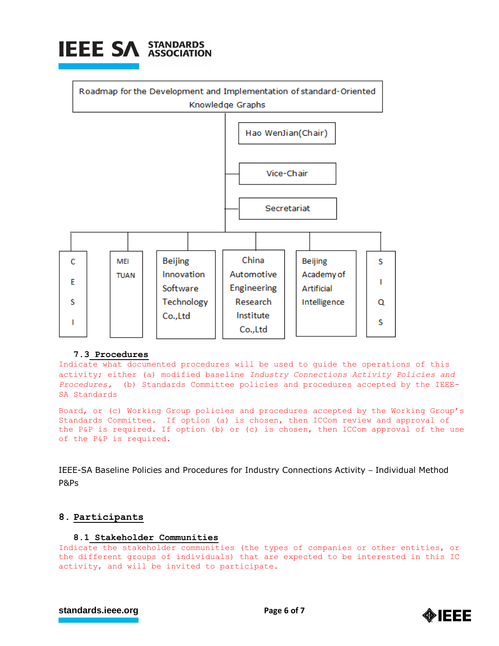



#### **7.3 Procedures**

Indicate what documented procedures will be used to guide the operations of this activity; either (a) modified baseline *Industry Connections Activity Policies and Procedures,* (b) Standards Committee policies and procedures accepted by the IEEE-SA Standards

Board, or (c) Working Group policies and procedures accepted by the Working Group's Standards Committee. If option (a) is chosen, then ICCom review and approval of the P&P is required. If option (b) or (c) is chosen, then ICCom approval of the use of the P&P is required.

IEEE-SA Baseline Policies and Procedures for Industry Connections Activity – Individual Method P&Ps

#### **8. Participants**

#### **8.1 Stakeholder Communities**

Indicate the stakeholder communities (the types of companies or other entities, or the different groups of individuals) that are expected to be interested in this IC activity, and will be invited to participate.

```
standards.ieee.org<br>
Page 6 of 7
```